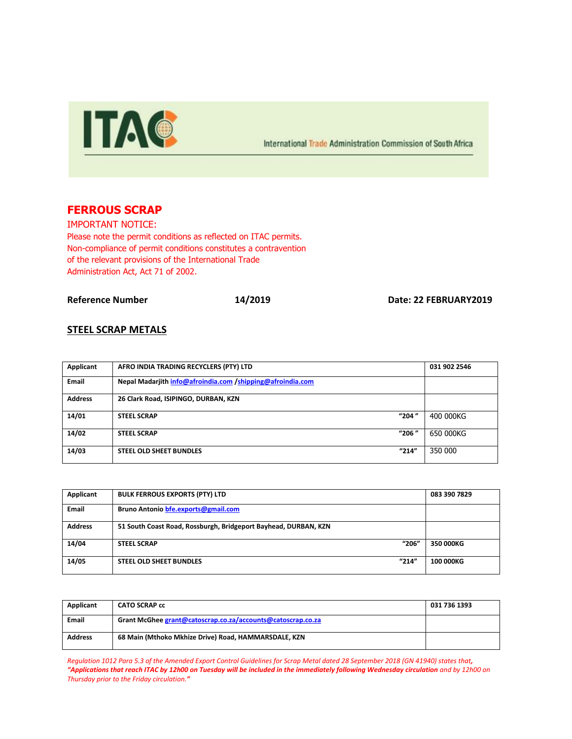

International Trade Administration Commission of South Africa

# **FERROUS SCRAP**

IMPORTANT NOTICE: Please note the permit conditions as reflected on ITAC permits. Non-compliance of permit conditions constitutes a contravention of the relevant provisions of the International Trade Administration Act, Act 71 of 2002.

**Reference Number 14/2019 Date: 22 FEBRUARY2019**

### **STEEL SCRAP METALS**

| Applicant      | AFRO INDIA TRADING RECYCLERS (PTY) LTD                     | 031 902 2546 |
|----------------|------------------------------------------------------------|--------------|
| Email          | Nepal Madarjith info@afroindia.com /shipping@afroindia.com |              |
| <b>Address</b> | 26 Clark Road, ISIPINGO, DURBAN, KZN                       |              |
| 14/01          | "204"<br><b>STEEL SCRAP</b>                                | 400 000KG    |
| 14/02          | "206"<br><b>STEEL SCRAP</b>                                | 650 000KG    |
| 14/03          | "214"<br><b>STEEL OLD SHEET BUNDLES</b>                    | 350 000      |

| Applicant      | <b>BULK FERROUS EXPORTS (PTY) LTD</b>                           | 083 390 7829     |
|----------------|-----------------------------------------------------------------|------------------|
| <b>Email</b>   | Bruno Antonio bfe.exports@gmail.com                             |                  |
| <b>Address</b> | 51 South Coast Road, Rossburgh, Bridgeport Bayhead, DURBAN, KZN |                  |
| 14/04          | "206"<br><b>STEEL SCRAP</b>                                     | 350 000KG        |
| 14/05          | "214"<br><b>STEEL OLD SHEET BUNDLES</b>                         | <b>100 000KG</b> |

| Applicant      | <b>CATO SCRAP cc</b>                                        | 031 736 1393 |
|----------------|-------------------------------------------------------------|--------------|
| <b>Email</b>   | Grant McGhee grant@catoscrap.co.za/accounts@catoscrap.co.za |              |
| <b>Address</b> | 68 Main (Mthoko Mkhize Drive) Road, HAMMARSDALE, KZN        |              |

*Regulation 1012 Para 5.3 of the Amended Export Control Guidelines for Scrap Metal dated 28 September 2018 (GN 41940) states that, "Applications that reach ITAC by 12h00 on Tuesday will be included in the immediately following Wednesday circulation and by 12h00 on Thursday prior to the Friday circulation."*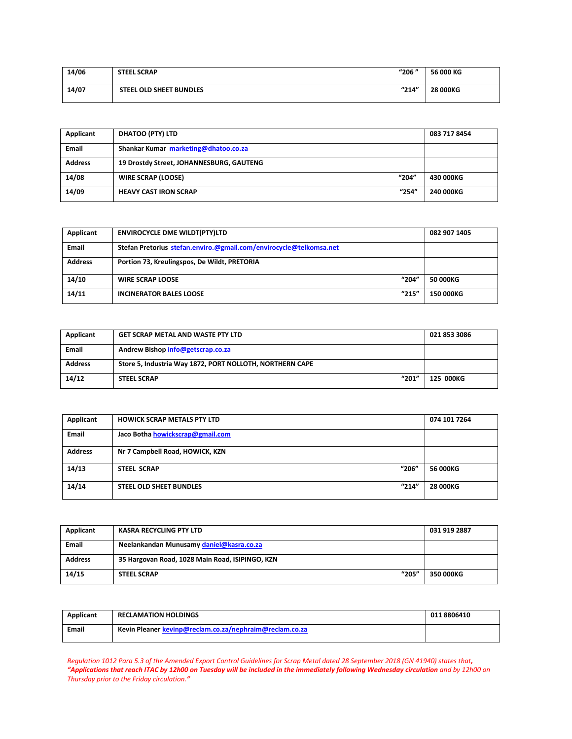| 14/06 | <b>STEEL SCRAP</b>             | "206" | 56 000 KG       |
|-------|--------------------------------|-------|-----------------|
| 14/07 | <b>STEEL OLD SHEET BUNDLES</b> | "214" | <b>28 000KG</b> |

| Applicant      | <b>DHATOO (PTY) LTD</b>                  | 083 717 8454 |
|----------------|------------------------------------------|--------------|
| <b>Email</b>   | Shankar Kumar marketing@dhatoo.co.za     |              |
| <b>Address</b> | 19 Drostdy Street, JOHANNESBURG, GAUTENG |              |
| 14/08          | "204"<br><b>WIRE SCRAP (LOOSE)</b>       | 430 000KG    |
| 14/09          | "254"<br><b>HEAVY CAST IRON SCRAP</b>    | 240 000KG    |

| Applicant      | <b>ENVIROCYCLE DME WILDT(PTY)LTD</b>                               | 082 907 1405 |
|----------------|--------------------------------------------------------------------|--------------|
| Email          | Stefan Pretorius stefan.enviro.@gmail.com/envirocycle@telkomsa.net |              |
| <b>Address</b> | Portion 73, Kreulingspos, De Wildt, PRETORIA                       |              |
| 14/10          | "204"<br><b>WIRE SCRAP LOOSE</b>                                   | 50 000KG     |
| 14/11          | "215"<br><b>INCINERATOR BALES LOOSE</b>                            | 150 000KG    |

| Applicant      | <b>GET SCRAP METAL AND WASTE PTY LTD</b>                 | 021 853 3086 |
|----------------|----------------------------------------------------------|--------------|
| Email          | Andrew Bishop info@getscrap.co.za                        |              |
| <b>Address</b> | Store 5, Industria Way 1872, PORT NOLLOTH, NORTHERN CAPE |              |
| 14/12          | "201"<br><b>STEEL SCRAP</b>                              | 125 000KG    |

| Applicant      | <b>HOWICK SCRAP METALS PTY LTD</b>      | 074 101 7264    |
|----------------|-----------------------------------------|-----------------|
| Email          | Jaco Botha howickscrap@gmail.com        |                 |
| <b>Address</b> | Nr 7 Campbell Road, HOWICK, KZN         |                 |
| 14/13          | "206"<br>STEEL SCRAP                    | 56 000KG        |
| 14/14          | "214"<br><b>STEEL OLD SHEET BUNDLES</b> | <b>28 000KG</b> |

| Applicant      | KASRA RECYCLING PTY LTD                         | 031 919 2887 |
|----------------|-------------------------------------------------|--------------|
| <b>Email</b>   | Neelankandan Munusamy daniel@kasra.co.za        |              |
| <b>Address</b> | 35 Hargovan Road, 1028 Main Road, ISIPINGO, KZN |              |
| 14/15          | "205"<br><b>STEEL SCRAP</b>                     | 350 000KG    |

| Applicant | <b>RECLAMATION HOLDINGS</b>                             | 011 8806410 |
|-----------|---------------------------------------------------------|-------------|
| Email     | Kevin Pleaner kevinp@reclam.co.za/nephraim@reclam.co.za |             |

*Regulation 1012 Para 5.3 of the Amended Export Control Guidelines for Scrap Metal dated 28 September 2018 (GN 41940) states that, "Applications that reach ITAC by 12h00 on Tuesday will be included in the immediately following Wednesday circulation and by 12h00 on Thursday prior to the Friday circulation."*